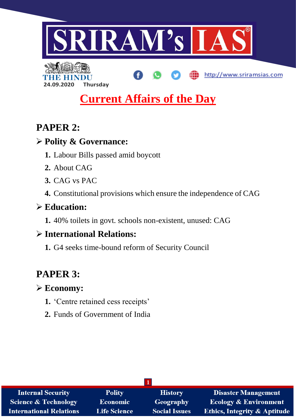

http://www.sriramsias.com



# **Current Affairs of the Day**

## **PAPER 2:**

## **Polity & Governance:**

- **1.** Labour Bills passed amid boycott
- **2.** About CAG
- **3.** CAG vs PAC
- **4.** Constitutional provisions which ensure the independence of CAG

## **Education:**

**1.** 40% toilets in govt. schools non-existent, unused: CAG

## **International Relations:**

**1.** G4 seeks time-bound reform of Security Council

# **PAPER 3:**

## **Economy:**

- **1.** 'Centre retained cess receipts'
- **2.** Funds of Government of India

| <b>Internal Security</b>        | <b>Polity</b>       | <b>History</b>       | <b>Disaster Management</b>              |
|---------------------------------|---------------------|----------------------|-----------------------------------------|
| <b>Science &amp; Technology</b> | <b>Economic</b>     | Geography            | <b>Ecology &amp; Environment</b>        |
| International Relations         | <b>Life Science</b> | <b>Social Issues</b> | <b>Ethics, Integrity &amp; Aptitude</b> |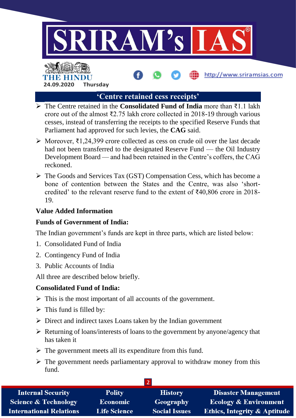

http://www.sriramsias.com

# HR HII **24.09.2020 Thursday**

## **'Centre retained cess receipts'**

- The Centre retained in the **Consolidated Fund of India** more than ₹1.1 lakh crore out of the almost ₹2.75 lakh crore collected in 2018-19 through various cesses, instead of transferring the receipts to the specified Reserve Funds that Parliament had approved for such levies, the **CAG** said.
- Moreover, ₹1,24,399 crore collected as cess on crude oil over the last decade had not been transferred to the designated Reserve Fund — the Oil Industry Development Board — and had been retained in the Centre's coffers, the CAG reckoned.
- $\triangleright$  The Goods and Services Tax (GST) Compensation Cess, which has become a bone of contention between the States and the Centre, was also 'shortcredited' to the relevant reserve fund to the extent of ₹40,806 crore in 2018- 19.

## **Value Added Information**

## **Funds of Government of India:**

The Indian government's funds are kept in three parts, which are listed below:

- 1. Consolidated Fund of India
- 2. Contingency Fund of India
- 3. Public Accounts of India

All three are described below briefly.

## **Consolidated Fund of India:**

- $\triangleright$  This is the most important of all accounts of the government.
- $\triangleright$  This fund is filled by:
- $\triangleright$  Direct and indirect taxes Loans taken by the Indian government
- $\triangleright$  Returning of loans/interests of loans to the government by anyone/agency that has taken it
- $\triangleright$  The government meets all its expenditure from this fund.
- $\triangleright$  The government needs parliamentary approval to withdraw money from this fund.

| <b>Internal Security</b>        | <b>Polity</b>       | <b>History</b>       | <b>Disaster Management</b>              |
|---------------------------------|---------------------|----------------------|-----------------------------------------|
| <b>Science &amp; Technology</b> | <b>Economic</b>     | <b>Geography</b>     | <b>Ecology &amp; Environment</b>        |
| <b>International Relations</b>  | <b>Life Science</b> | <b>Social Issues</b> | <b>Ethics, Integrity &amp; Aptitude</b> |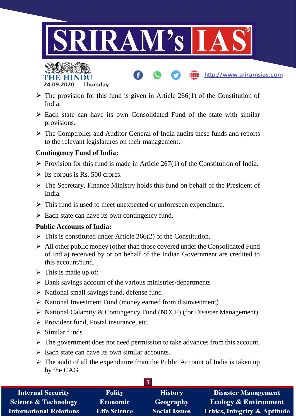



 $\triangleright$  The provision for this fund is given in Article 266(1) of the Constitution of India.

http://www.sriramsias.com

- $\triangleright$  Each state can have its own Consolidated Fund of the state with similar provisions.
- The Comptroller and Auditor General of India audits these funds and reports to the relevant legislatures on their management.

## **Contingency Fund of India:**

- $\triangleright$  Provision for this fund is made in Article 267(1) of the Constitution of India.
- $\triangleright$  Its corpus is Rs. 500 crores.
- $\triangleright$  The Secretary, Finance Ministry holds this fund on behalf of the President of India.
- $\triangleright$  This fund is used to meet unexpected or unforeseen expenditure.
- $\triangleright$  Each state can have its own contingency fund.

## **Public Accounts of India:**

- $\triangleright$  This is constituted under Article 266(2) of the Constitution.
- $\triangleright$  All other public money (other than those covered under the Consolidated Fund of India) received by or on behalf of the Indian Government are credited to this account/fund.
- $\triangleright$  This is made up of:
- $\triangleright$  Bank savings account of the various ministries/departments
- $\triangleright$  National small savings fund, defense fund
- $\triangleright$  National Investment Fund (money earned from disinvestment)
- $\triangleright$  National Calamity & Contingency Fund (NCCF) (for Disaster Management)
- $\triangleright$  Provident fund, Postal insurance, etc.
- $\triangleright$  Similar funds
- $\triangleright$  The government does not need permission to take advances from this account.
- $\triangleright$  Each state can have its own similar accounts.
- $\triangleright$  The audit of all the expenditure from the Public Account of India is taken up by the CAG

| <b>Polity</b>       | <b>History</b>       | <b>Disaster Management</b>              |
|---------------------|----------------------|-----------------------------------------|
| <b>Economic</b>     | Geography            | <b>Ecology &amp; Environment</b>        |
| <b>Life Science</b> | <b>Social Issues</b> | <b>Ethics, Integrity &amp; Aptitude</b> |
|                     |                      |                                         |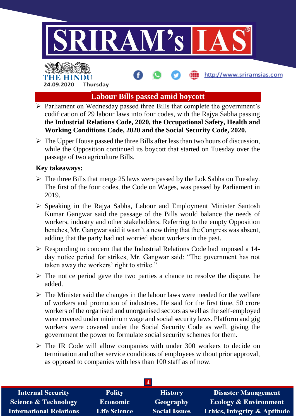

http://www.sriramsias.com

# **THE ENDING 24.09.2020 Thursday**

## **Labour Bills passed amid boycott**

- $\triangleright$  Parliament on Wednesday passed three Bills that complete the government's codification of 29 labour laws into four codes, with the Rajya Sabha passing the **Industrial Relations Code, 2020, the Occupational Safety, Health and Working Conditions Code, 2020 and the Social Security Code, 2020.**
- $\triangleright$  The Upper House passed the three Bills after less than two hours of discussion, while the Opposition continued its boycott that started on Tuesday over the passage of two agriculture Bills.

### **Key takeaways:**

- $\triangleright$  The three Bills that merge 25 laws were passed by the Lok Sabha on Tuesday. The first of the four codes, the Code on Wages, was passed by Parliament in 2019.
- $\triangleright$  Speaking in the Rajya Sabha, Labour and Employment Minister Santosh Kumar Gangwar said the passage of the Bills would balance the needs of workers, industry and other stakeholders. Referring to the empty Opposition benches, Mr. Gangwar said it wasn't a new thing that the Congress was absent, adding that the party had not worried about workers in the past.
- $\triangleright$  Responding to concern that the Industrial Relations Code had imposed a 14day notice period for strikes, Mr. Gangwar said: "The government has not taken away the workers' right to strike."
- $\triangleright$  The notice period gave the two parties a chance to resolve the dispute, he added.
- $\triangleright$  The Minister said the changes in the labour laws were needed for the welfare of workers and promotion of industries. He said for the first time, 50 crore workers of the organised and unorganised sectors as well as the self-employed were covered under minimum wage and social security laws. Platform and gig workers were covered under the Social Security Code as well, giving the government the power to formulate social security schemes for them.
- $\triangleright$  The IR Code will allow companies with under 300 workers to decide on termination and other service conditions of employees without prior approval, as opposed to companies with less than 100 staff as of now.

| <b>Internal Security</b>        | <b>Polity</b>       | <b>History</b>       | <b>Disaster Management</b>              |
|---------------------------------|---------------------|----------------------|-----------------------------------------|
| <b>Science &amp; Technology</b> | Economic            | Geography            | <b>Ecology &amp; Environment</b>        |
| <b>International Relations</b>  | <b>Life Science</b> | <b>Social Issues</b> | <b>Ethics, Integrity &amp; Aptitude</b> |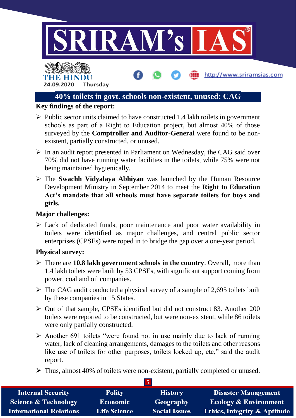

## **40% toilets in govt. schools non-existent, unused: CAG**

### **Key findings of the report:**

- $\triangleright$  Public sector units claimed to have constructed 1.4 lakh toilets in government schools as part of a Right to Education project, but almost 40% of those surveyed by the **Comptroller and Auditor-General** were found to be nonexistent, partially constructed, or unused.
- $\triangleright$  In an audit report presented in Parliament on Wednesday, the CAG said over 70% did not have running water facilities in the toilets, while 75% were not being maintained hygienically.
- The **Swachh Vidyalaya Abhiyan** was launched by the Human Resource Development Ministry in September 2014 to meet the **Right to Education Act's mandate that all schools must have separate toilets for boys and girls.**

#### **Major challenges:**

 $\triangleright$  Lack of dedicated funds, poor maintenance and poor water availability in toilets were identified as major challenges, and central public sector enterprises (CPSEs) were roped in to bridge the gap over a one-year period.

#### **Physical survey:**

- There are **10.8 lakh government schools in the country**. Overall, more than 1.4 lakh toilets were built by 53 CPSEs, with significant support coming from power, coal and oil companies.
- $\triangleright$  The CAG audit conducted a physical survey of a sample of 2,695 toilets built by these companies in 15 States.
- $\triangleright$  Out of that sample, CPSEs identified but did not construct 83. Another 200 toilets were reported to be constructed, but were non-existent, while 86 toilets were only partially constructed.
- $\triangleright$  Another 691 toilets "were found not in use mainly due to lack of running water, lack of cleaning arrangements, damages to the toilets and other reasons like use of toilets for other purposes, toilets locked up, etc," said the audit report.
- $\triangleright$  Thus, almost 40% of toilets were non-existent, partially completed or unused.

| <b>Internal Security</b>        | <b>Polity</b>       | <b>History</b>       | <b>Disaster Management</b>              |  |
|---------------------------------|---------------------|----------------------|-----------------------------------------|--|
| <b>Science &amp; Technology</b> | Economic            | Geography            | <b>Ecology &amp; Environment</b>        |  |
| <b>International Relations</b>  | <b>Life Science</b> | <b>Social Issues</b> | <b>Ethics, Integrity &amp; Aptitude</b> |  |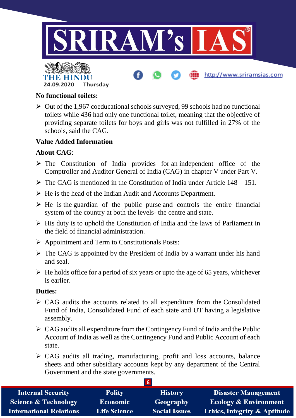

### **No functional toilets:**

 $\triangleright$  Out of the 1,967 coeducational schools surveyed, 99 schools had no functional toilets while 436 had only one functional toilet, meaning that the objective of providing separate toilets for boys and girls was not fulfilled in 27% of the schools, said the CAG.

## **Value Added Information**

### **About CAG**:

- $\triangleright$  The Constitution of India provides for an independent office of the Comptroller and Auditor General of India (CAG) in chapter V under Part V.
- $\triangleright$  The CAG is mentioned in the Constitution of India under Article 148 151.
- $\triangleright$  He is the head of the Indian Audit and Accounts Department.
- $\triangleright$  He is the guardian of the public purse and controls the entire financial system of the country at both the levels- the centre and state.
- $\triangleright$  His duty is to uphold the Constitution of India and the laws of Parliament in the field of financial administration.
- $\triangleright$  Appointment and Term to Constitutionals Posts:
- $\triangleright$  The CAG is appointed by the President of India by a warrant under his hand and seal.
- $\triangleright$  He holds office for a period of six years or upto the age of 65 years, whichever is earlier.

#### **Duties:**

- $\triangleright$  CAG audits the accounts related to all expenditure from the Consolidated Fund of India, Consolidated Fund of each state and UT having a legislative assembly.
- $\triangleright$  CAG audits all expenditure from the Contingency Fund of India and the Public Account of India as well as the Contingency Fund and Public Account of each state.
- $\triangleright$  CAG audits all trading, manufacturing, profit and loss accounts, balance sheets and other subsidiary accounts kept by any department of the Central Government and the state governments.

| <b>Internal Security</b>        | <b>Polity</b>       | <b>History</b>       | <b>Disaster Management</b>              |  |
|---------------------------------|---------------------|----------------------|-----------------------------------------|--|
| <b>Science &amp; Technology</b> | Economic            | Geography            | <b>Ecology &amp; Environment</b>        |  |
| <b>International Relations</b>  | <b>Life Science</b> | <b>Social Issues</b> | <b>Ethics, Integrity &amp; Aptitude</b> |  |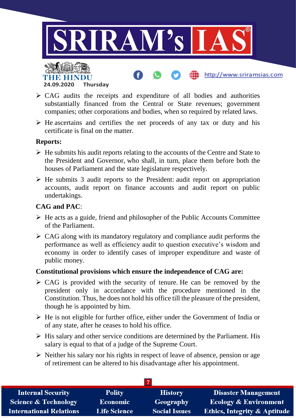

- $\triangleright$  CAG audits the receipts and expenditure of all bodies and authorities substantially financed from the Central or State revenues; government companies; other corporations and bodies, when so required by related laws.
- $\triangleright$  He ascertains and certifies the net proceeds of any tax or duty and his certificate is final on the matter.

### **Reports:**

- $\triangleright$  He submits his audit reports relating to the accounts of the Centre and State to the President and Governor, who shall, in turn, place them before both the houses of Parliament and the state legislature respectively.
- $\triangleright$  He submits 3 audit reports to the President: audit report on appropriation accounts, audit report on finance accounts and audit report on public undertakings.

## **CAG and PAC**:

- $\triangleright$  He acts as a guide, friend and philosopher of the Public Accounts Committee of the Parliament.
- $\triangleright$  CAG along with its mandatory regulatory and compliance audit performs the performance as well as efficiency audit to question executive's wisdom and economy in order to identify cases of improper expenditure and waste of public money.

## **Constitutional provisions which ensure the independence of CAG are:**

- $\triangleright$  CAG is provided with the security of tenure. He can be removed by the president only in accordance with the procedure mentioned in the Constitution. Thus, he does not hold his office till the pleasure of the president, though he is appointed by him.
- $\triangleright$  He is not eligible for further office, either under the Government of India or of any state, after he ceases to hold his office.
- $\triangleright$  His salary and other service conditions are determined by the Parliament. His salary is equal to that of a judge of the Supreme Court.
- $\triangleright$  Neither his salary nor his rights in respect of leave of absence, pension or age of retirement can be altered to his disadvantage after his appointment.

| <b>Internal Security</b>        | <b>Polity</b>       | <b>History</b>       | <b>Disaster Management</b>              |
|---------------------------------|---------------------|----------------------|-----------------------------------------|
| <b>Science &amp; Technology</b> | <b>Economic</b>     | Geography            | Ecology & Environment                   |
| <b>International Relations</b>  | <b>Life Science</b> | <b>Social Issues</b> | <b>Ethics, Integrity &amp; Aptitude</b> |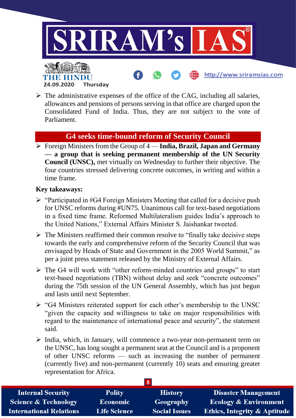

## $\triangleright$  The administrative expenses of the office of the CAG, including all salaries, allowances and pensions of persons serving in that office are charged upon the Consolidated Fund of India. Thus, they are not subject to the vote of Parliament.

## **G4 seeks time-bound reform of Security Council**

 Foreign Ministers from the Group of 4 — **India, Brazil, Japan and Germany — a group that is seeking permanent membership of the UN Security Council (UNSC),** met virtually on Wednesday to further their objective. The four countries stressed delivering concrete outcomes, in writing and within a time frame.

#### **Key takeaways:**

**24.09.2020 Thursday**

THE BELLET

- $\triangleright$  "Participated in #G4 Foreign Ministers Meeting that called for a decisive push for UNSC reforms during #UN75. Unanimous call for text-based negotiations in a fixed time frame. Reformed Multilateralism guides India's approach to the United Nations," External Affairs Minister S. Jaishankar tweeted.
- $\triangleright$  The Ministers reaffirmed their common resolve to "finally take decisive steps" towards the early and comprehensive reform of the Security Council that was envisaged by Heads of State and Government in the 2005 World Summit," as per a joint press statement released by the Ministry of External Affairs.
- $\triangleright$  The G4 will work with "other reform-minded countries and groups" to start text-based negotiations (TBN) without delay and seek "concrete outcomes" during the 75th session of the UN General Assembly, which has just begun and lasts until next September.
- $\triangleright$  "G4 Ministers reiterated support for each other's membership to the UNSC "given the capacity and willingness to take on major responsibilities with regard to the maintenance of international peace and security", the statement said.
- India, which, in January, will commence a two-year non-permanent term on the UNSC, has long sought a permanent seat at the Council and is a proponent of other UNSC reforms — such as increasing the number of permanent (currently five) and non-permanent (currently 10) seats and ensuring greater representation for Africa.

| <b>Internal Security</b>        | <b>Polity</b>       | <b>History</b>       | <b>Disaster Management</b>              |  |
|---------------------------------|---------------------|----------------------|-----------------------------------------|--|
| <b>Science &amp; Technology</b> | <b>Economic</b>     | Geography            | <b>Ecology &amp; Environment</b>        |  |
| <b>International Relations</b>  | <b>Life Science</b> | <b>Social Issues</b> | <b>Ethics, Integrity &amp; Aptitude</b> |  |